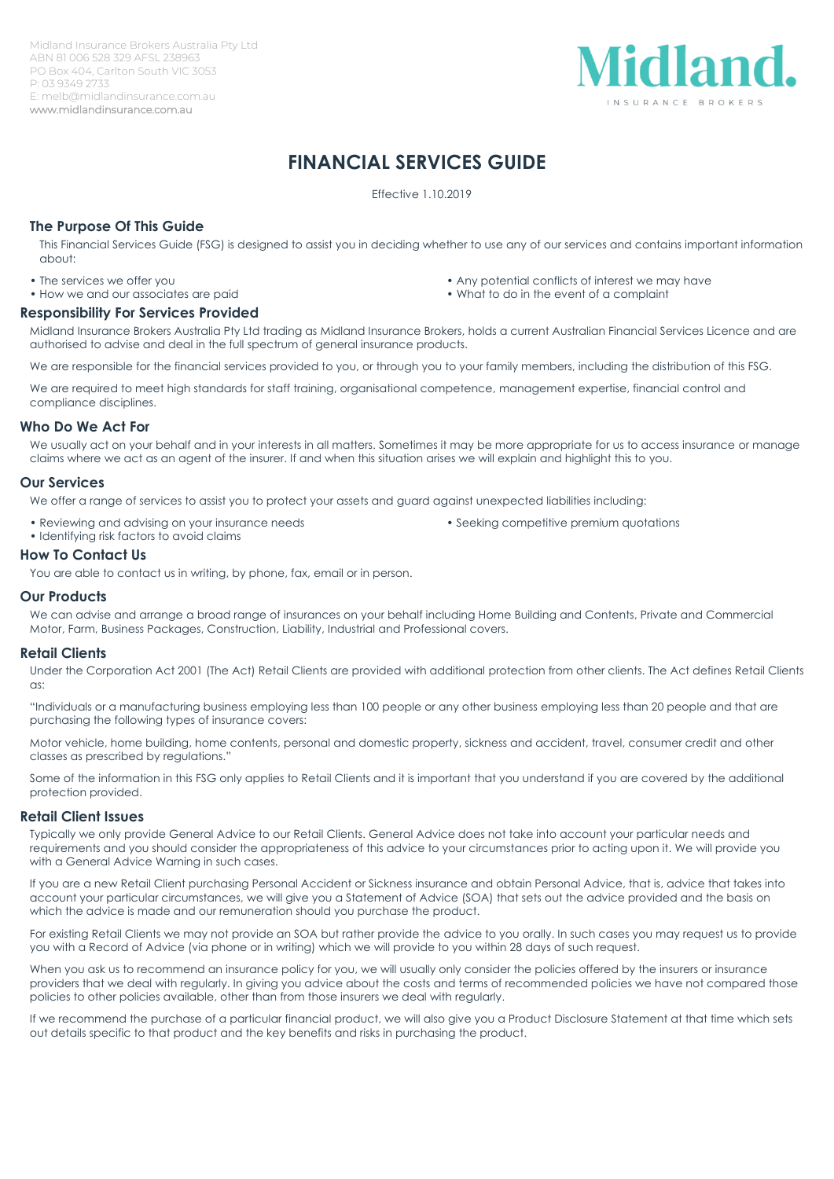

# **FINANCIAL SERVICES GUIDE**

Effective 1.10.2019

# **The Purpose Of This Guide**

This Financial Services Guide (FSG) is designed to assist you in deciding whether to use any of our services and contains important information about:

- The services we offer you
- How we and our associates are paid
- Any potential conflicts of interest we may have
- What to do in the event of a complaint

#### **Responsibility For Services Provided**

Midland Insurance Brokers Australia Pty Ltd trading as Midland Insurance Brokers, holds a current Australian Financial Services Licence and are authorised to advise and deal in the full spectrum of general insurance products.

We are responsible for the financial services provided to you, or through you to your family members, including the distribution of this FSG.

We are required to meet high standards for staff training, organisational competence, management expertise, financial control and compliance disciplines.

# **Who Do We Act For**

We usually act on your behalf and in your interests in all matters. Sometimes it may be more appropriate for us to access insurance or manage claims where we act as an agent of the insurer. If and when this situation arises we will explain and highlight this to you.

## **Our Services**

We offer a range of services to assist you to protect your assets and guard against unexpected liabilities including:

• Reviewing and advising on your insurance needs

• Seeking competitive premium quotations

• Identifying risk factors to avoid claims

# **How To Contact Us**

You are able to contact us in writing, by phone, fax, email or in person.

## **Our Products**

We can advise and arrange a broad range of insurances on your behalf including Home Building and Contents, Private and Commercial Motor, Farm, Business Packages, Construction, Liability, Industrial and Professional covers.

# **Retail Clients**

Under the Corporation Act 2001 (The Act) Retail Clients are provided with additional protection from other clients. The Act defines Retail Clients as:

"Individuals or a manufacturing business employing less than 100 people or any other business employing less than 20 people and that are purchasing the following types of insurance covers:

Motor vehicle, home building, home contents, personal and domestic property, sickness and accident, travel, consumer credit and other classes as prescribed by regulations."

Some of the information in this FSG only applies to Retail Clients and it is important that you understand if you are covered by the additional protection provided.

#### **Retail Client Issues**

Typically we only provide General Advice to our Retail Clients. General Advice does not take into account your particular needs and requirements and you should consider the appropriateness of this advice to your circumstances prior to acting upon it. We will provide you with a General Advice Warning in such cases.

If you are a new Retail Client purchasing Personal Accident or Sickness insurance and obtain Personal Advice, that is, advice that takes into account your particular circumstances, we will give you a Statement of Advice (SOA) that sets out the advice provided and the basis on which the advice is made and our remuneration should you purchase the product.

For existing Retail Clients we may not provide an SOA but rather provide the advice to you orally. In such cases you may request us to provide you with a Record of Advice (via phone or in writing) which we will provide to you within 28 days of such request.

When you ask us to recommend an insurance policy for you, we will usually only consider the policies offered by the insurers or insurance providers that we deal with regularly. In giving you advice about the costs and terms of recommended policies we have not compared those policies to other policies available, other than from those insurers we deal with regularly.

If we recommend the purchase of a particular financial product, we will also give you a Product Disclosure Statement at that time which sets out details specific to that product and the key benefits and risks in purchasing the product.